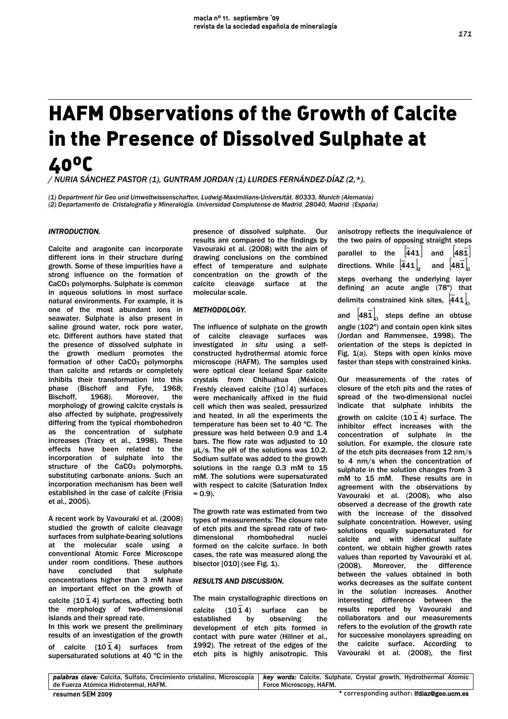# HAFM Observations of the Growth of Calcite in the Presence of Dissolved Sulphate at 40ºC

*/ NURIA SÁNCHEZ PASTOR (1), GUNTRAM JORDAN (1) LURDES FERNÁNDEZ-DÍAZ (2,\*).* 

*(1) Department für Geo und Umweltwissenschaften, Ludwig-Maximilians-Universität. 80333, Munich (Alemania) (2) Departamento de Cristalografía y Mineralogía. Universidad Complutense de Madrid. 28040, Madrid (España)* 

## *INTRODUCTION.*

Calcite and aragonite can incorporate different ions in their structure during growth. Some of these impurities have a strong influence on the formation of CaCO3 polymorphs. Sulphate is common in aqueous solutions in most surface natural environments. For example, it is one of the most abundant ions in seawater. Sulphate is also present in saline ground water, rock pore water, etc. Different authors have stated that the presence of dissolved sulphate in the growth medium promotes the formation of other CaCO<sub>3</sub> polymorphs than calcite and retards or completely inhibits their transformation into this phase (Bischoff and Fyfe, 1968; Bischoff, 1968). Moreover, the morphology of growing calcite crystals is also affected by sulphate, progressively differing from the typical rhombohedron as the concentration of sulphate increases (Tracy et al., 1998). These effects have been related to the incorporation of sulphate into the structure of the CaCO<sub>3</sub> polymorphs, substituting carbonate anions. Such an incorporation mechanism has been well established in the case of calcite (Frisia et al., 2005).

A recent work by Vavouraki et al. (2008) studied the growth of calcite cleavage surfaces from sulphate-bearing solutions at the molecular scale using a conventional Atomic Force Microscope under room conditions. These authors have concluded that sulphate concentrations higher than 3 mM have an important effect on the growth of

calcite {10 1 4} surfaces, affecting both the morphology of two-dimensional islands and their spread rate.

In this work we present the preliminary results of an investigation of the growth of calcite {10 1 4} surfaces from supersaturated solutions at 40 ºC in the

presence of dissolved sulphate. Our results are compared to the findings by Vavouraki et al. (2008) with the aim of drawing conclusions on the combined effect of temperature and sulphate concentration on the growth of the calcite cleavage surface at the molecular scale.

## *METHODOLOGY.*

The influence of sulphate on the growth of calcite cleavage surfaces was investigated *in situ* using a selfconstructed hydrothermal atomic force microscope (HAFM). The samples used were optical clear Iceland Spar calcite crystals from Chihuahua (México). Freshly cleaved calcite  $\{10^{\bar{1}}4\}$  surfaces were mechanically affixed in the fluid cell which then was sealed, pressurized and heated. In all the experiments the temperature has been set to 40 ºC. The pressure was held between 0.9 and 1.4 bars. The flow rate was adjusted to 10 µL/s. The pH of the solutions was 10.2. Sodium sulfate was added to the growth solutions in the range 0.3 mM to 15 mM. The solutions were supersaturated with respect to calcite (Saturation Index  $= 0.91$ 

The growth rate was estimated from two types of measurements: The closure rate of etch pits and the spread rate of tworhombohedral formed on the calcite surface. In both cases, the rate was measured along the bisector [010] (see Fig. 1).

#### *RESULTS AND DISCUSSION.*

The main crystallographic directions on calcite  $(10\bar{1}4)$  surface can be established by observing the development of etch pits formed in contact with pure water (Hillner et al., 1992). The retreat of the edges of the etch pits is highly anisotropic. This anisotropy reflects the inequivalence of the two pairs of opposing straight steps parallel to the  $\sqrt{441}$  and  $\sqrt{481}$ directions. While  $\left| \overline{441} \right|_0$ 441 $_{\rm a}$  and  $\left[$ 481 $_{\rm a}$ steps overhang the underlying layer defining an acute angle (78º) that delimits constrained kink sites,  $\ket{441}_0$ and  $\begin{bmatrix} 481 \end{bmatrix}_{\hspace{-0.05cm} 0}$  steps define an obtuse angle (102º) and contain open kink sites (Jordan and Rammensee, 1998). The orientation of the steps is depicted in Fig. 1(a). Steps with open kinks move

faster than steps with constrained kinks.

Our measurements of the rates of closure of the etch pits and the rates of spread of the two-dimensional nuclei indicate that sulphate inhibits the growth on calcite (10 1 4) surface. The inhibitor effect increases with the concentration of sulphate in the solution. For example, the closure rate of the etch pits decreases from 12 nm/s to 4 nm/s when the concentration of sulphate in the solution changes from 3 mM to 15 mM. These results are in agreement with the observations by Vavouraki et al. (2008), who also observed a decrease of the growth rate with the increase of the dissolved sulphate concentration. However, using solutions equally supersaturated for calcite and with identical sulfate content, we obtain higher growth rates values than reported by Vavouraki et al. (2008). Moreover, the difference between the values obtained in both works decreases as the sulfate content in the solution increases. Another interesting difference between the results reported by Vavouraki and collaborators and our measurements refers to the evolution of the growth rate for successive monolayers spreading on the calcite surface. According to Vavouraki et al. (2008), the first

|                                      | palabras clave: Calcita, Sulfato, Crecimiento cristalino, Microscopía   key words: Calcite, Sulphate, Crystal growth, Hydrothermal Atomic |
|--------------------------------------|-------------------------------------------------------------------------------------------------------------------------------------------|
| de Fuerza Atómica Hidrotermal, HAFM, | Force Microscopy, HAFM.                                                                                                                   |
| resumen SEM 2009                     | * corresponding author: <b>Ifdiaz@geo.ucm.es</b>                                                                                          |